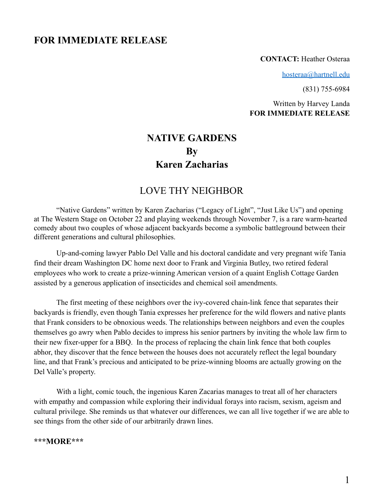# **FOR IMMEDIATE RELEASE**

#### **CONTACT:** Heather Osteraa

[hosteraa@hartnell.edu](mailto:hosteraa@hartnell.edu)

(831) 755-6984

Written by Harvey Landa **FOR IMMEDIATE RELEASE**

# **NATIVE GARDENS By Karen Zacharias**

## LOVE THY NEIGHBOR

"Native Gardens" written by Karen Zacharias ("Legacy of Light", "Just Like Us") and opening at The Western Stage on October 22 and playing weekends through November 7, is a rare warm-hearted comedy about two couples of whose adjacent backyards become a symbolic battleground between their different generations and cultural philosophies.

Up-and-coming lawyer Pablo Del Valle and his doctoral candidate and very pregnant wife Tania find their dream Washington DC home next door to Frank and Virginia Butley, two retired federal employees who work to create a prize-winning American version of a quaint English Cottage Garden assisted by a generous application of insecticides and chemical soil amendments.

The first meeting of these neighbors over the ivy-covered chain-link fence that separates their backyards is friendly, even though Tania expresses her preference for the wild flowers and native plants that Frank considers to be obnoxious weeds. The relationships between neighbors and even the couples themselves go awry when Pablo decides to impress his senior partners by inviting the whole law firm to their new fixer-upper for a BBQ. In the process of replacing the chain link fence that both couples abhor, they discover that the fence between the houses does not accurately reflect the legal boundary line, and that Frank's precious and anticipated to be prize-winning blooms are actually growing on the Del Valle's property.

With a light, comic touch, the ingenious Karen Zacarias manages to treat all of her characters with empathy and compassion while exploring their individual forays into racism, sexism, ageism and cultural privilege. She reminds us that whatever our differences, we can all live together if we are able to see things from the other side of our arbitrarily drawn lines.

#### **\*\*\*MORE\*\*\***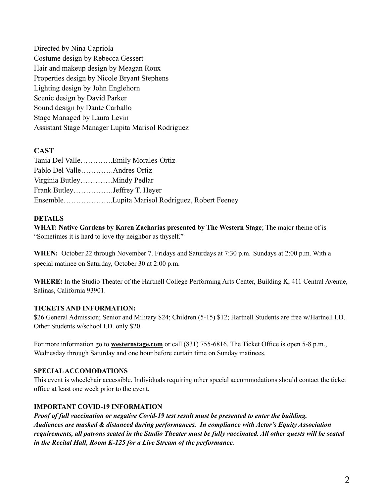Directed by Nina Capriola Costume design by Rebecca Gessert Hair and makeup design by Meagan Roux Properties design by Nicole Bryant Stephens Lighting design by John Englehorn Scenic design by David Parker Sound design by Dante Carballo Stage Managed by Laura Levin Assistant Stage Manager Lupita Marisol Rodriguez

### **CAST**

| Pablo Del ValleAndres Ortiz  |                                                 |
|------------------------------|-------------------------------------------------|
|                              |                                                 |
| Frank ButleyJeffrey T. Heyer |                                                 |
|                              | EnsembleLupita Marisol Rodriguez, Robert Feeney |

### **DETAILS**

**WHAT: Native Gardens by Karen Zacharias presented by The Western Stage**; The major theme of is "Sometimes it is hard to love thy neighbor as thyself."

**WHEN:** October 22 through November 7. Fridays and Saturdays at 7:30 p.m. Sundays at 2:00 p.m. With a special matinee on Saturday, October 30 at 2:00 p.m.

**WHERE:** In the Studio Theater of the Hartnell College Performing Arts Center, Building K, 411 Central Avenue, Salinas, California 93901.

### **TICKETS AND INFORMATION:**

\$26 General Admission; Senior and Military \$24; Children (5-15) \$12; Hartnell Students are free w/Hartnell I.D. Other Students w/school I.D. only \$20.

For more information go to **westernstage.com** or call (831) 755-6816. The Ticket Office is open 5-8 p.m., Wednesday through Saturday and one hour before curtain time on Sunday matinees.

### **SPECIALACCOMODATIONS**

This event is wheelchair accessible. Individuals requiring other special accommodations should contact the ticket office at least one week prior to the event.

### **IMPORTANT COVID-19 INFORMATION**

*Proof of full vaccination or negative Covid-19 test result must be presented to enter the building. Audiences are masked & distanced during performances. In compliance with Actor's Equity Association* requirements, all patrons seated in the Studio Theater must be fully vaccinated. All other guests will be seated *in the Recital Hall, Room K-125 for a Live Stream of the performance.*